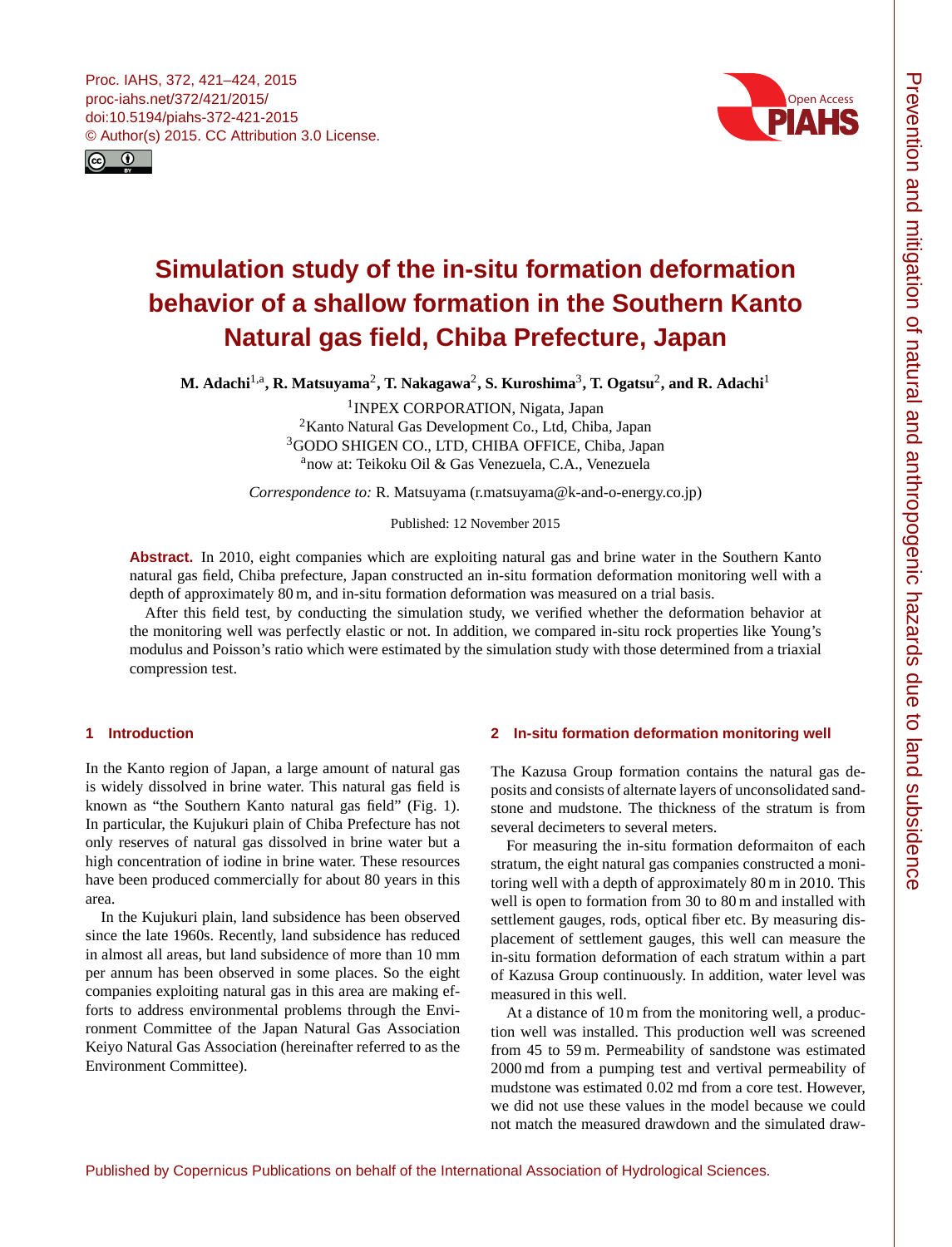<span id="page-0-1"></span>



# **Simulation study of the in-situ formation deformation behavior of a shallow formation in the Southern Kanto Natural gas field, Chiba Prefecture, Japan**

 $\mathbf{M}.$  Adachi<sup>[1,a](#page-0-0)</sup>, R. Matsuyama<sup>[2](#page-0-0)</sup>, T. Nakagawa<sup>2</sup>, S. Kuroshima<sup>[3](#page-0-0)</sup>, T. Ogatsu<sup>2</sup>, and R. Adachi<sup>[1](#page-0-0)</sup>

<sup>1</sup> INPEX CORPORATION, Nigata, Japan <sup>2</sup>Kanto Natural Gas Development Co., Ltd, Chiba, Japan <sup>3</sup>GODO SHIGEN CO., LTD, CHIBA OFFICE, Chiba, Japan <sup>a</sup>now at: Teikoku Oil & Gas Venezuela, C.A., Venezuela

*Correspondence to:* R. Matsuyama (r.matsuyama@k-and-o-energy.co.jp)

Published: 12 November 2015

**Abstract.** In 2010, eight companies which are exploiting natural gas and brine water in the Southern Kanto natural gas field, Chiba prefecture, Japan constructed an in-situ formation deformation monitoring well with a depth of approximately 80 m, and in-situ formation deformation was measured on a trial basis.

After this field test, by conducting the simulation study, we verified whether the deformation behavior at the monitoring well was perfectly elastic or not. In addition, we compared in-situ rock properties like Young's modulus and Poisson's ratio which were estimated by the simulation study with those determined from a triaxial compression test.

## <span id="page-0-0"></span>**1 Introduction**

In the Kanto region of Japan, a large amount of natural gas is widely dissolved in brine water. This natural gas field is known as "the Southern Kanto natural gas field" (Fig. 1). In particular, the Kujukuri plain of Chiba Prefecture has not only reserves of natural gas dissolved in brine water but a high concentration of iodine in brine water. These resources have been produced commercially for about 80 years in this area.

In the Kujukuri plain, land subsidence has been observed since the late 1960s. Recently, land subsidence has reduced in almost all areas, but land subsidence of more than 10 mm per annum has been observed in some places. So the eight companies exploiting natural gas in this area are making efforts to address environmental problems through the Environment Committee of the Japan Natural Gas Association Keiyo Natural Gas Association (hereinafter referred to as the Environment Committee).

## **2 In-situ formation deformation monitoring well**

The Kazusa Group formation contains the natural gas deposits and consists of alternate layers of unconsolidated sandstone and mudstone. The thickness of the stratum is from several decimeters to several meters.

For measuring the in-situ formation deformaiton of each stratum, the eight natural gas companies constructed a monitoring well with a depth of approximately 80 m in 2010. This well is open to formation from 30 to 80 m and installed with settlement gauges, rods, optical fiber etc. By measuring displacement of settlement gauges, this well can measure the in-situ formation deformation of each stratum within a part of Kazusa Group continuously. In addition, water level was measured in this well.

At a distance of 10 m from the monitoring well, a production well was installed. This production well was screened from 45 to 59 m. Permeability of sandstone was estimated 2000 md from a pumping test and vertival permeability of mudstone was estimated 0.02 md from a core test. However, we did not use these values in the model because we could not match the measured drawdown and the simulated draw-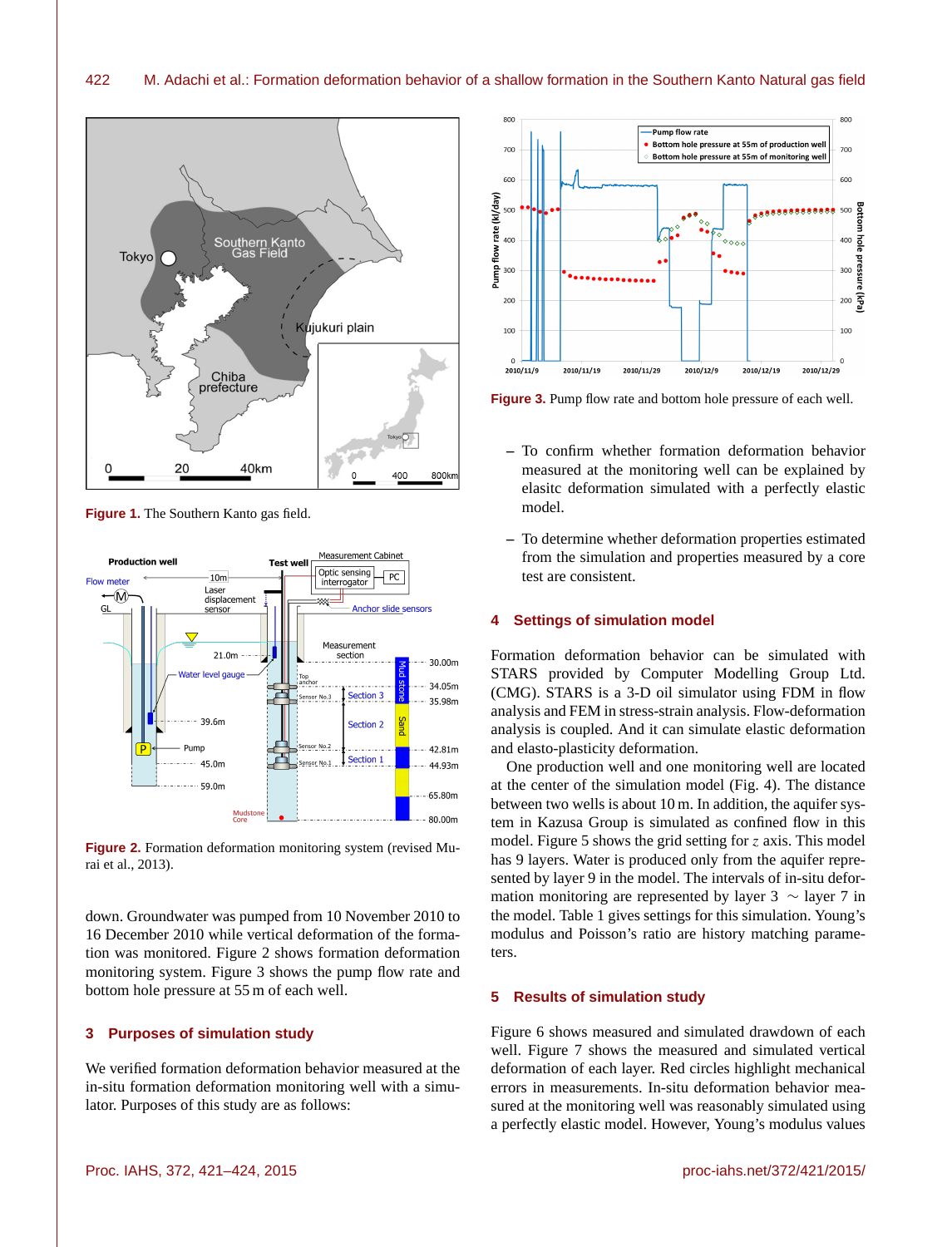

**Figure 1.** The Southern Kanto gas field.



**Figure 2.** Formation deformation monitoring system (revised Murai et al., 2013).

down. Groundwater was pumped from 10 November 2010 to 16 December 2010 while vertical deformation of the formation was monitored. Figure 2 shows formation deformation monitoring system. Figure 3 shows the pump flow rate and bottom hole pressure at 55 m of each well.

## **3 Purposes of simulation study**

We verified formation deformation behavior measured at the in-situ formation deformation monitoring well with a simulator. Purposes of this study are as follows:



**Figure 3.** Pump flow rate and bottom hole pressure of each well.

- **–** To confirm whether formation deformation behavior measured at the monitoring well can be explained by elasitc deformation simulated with a perfectly elastic model.
- **–** To determine whether deformation properties estimated from the simulation and properties measured by a core test are consistent.

#### **4 Settings of simulation model**

Formation deformation behavior can be simulated with STARS provided by Computer Modelling Group Ltd. (CMG). STARS is a 3-D oil simulator using FDM in flow analysis and FEM in stress-strain analysis. Flow-deformation analysis is coupled. And it can simulate elastic deformation and elasto-plasticity deformation.

One production well and one monitoring well are located at the center of the simulation model (Fig. 4). The distance between two wells is about 10 m. In addition, the aquifer system in Kazusa Group is simulated as confined flow in this model. Figure 5 shows the grid setting for  $z$  axis. This model has 9 layers. Water is produced only from the aquifer represented by layer 9 in the model. The intervals of in-situ deformation monitoring are represented by layer 3  $\sim$  layer 7 in the model. Table 1 gives settings for this simulation. Young's modulus and Poisson's ratio are history matching parameters.

#### **5 Results of simulation study**

Figure 6 shows measured and simulated drawdown of each well. Figure 7 shows the measured and simulated vertical deformation of each layer. Red circles highlight mechanical errors in measurements. In-situ deformation behavior measured at the monitoring well was reasonably simulated using a perfectly elastic model. However, Young's modulus values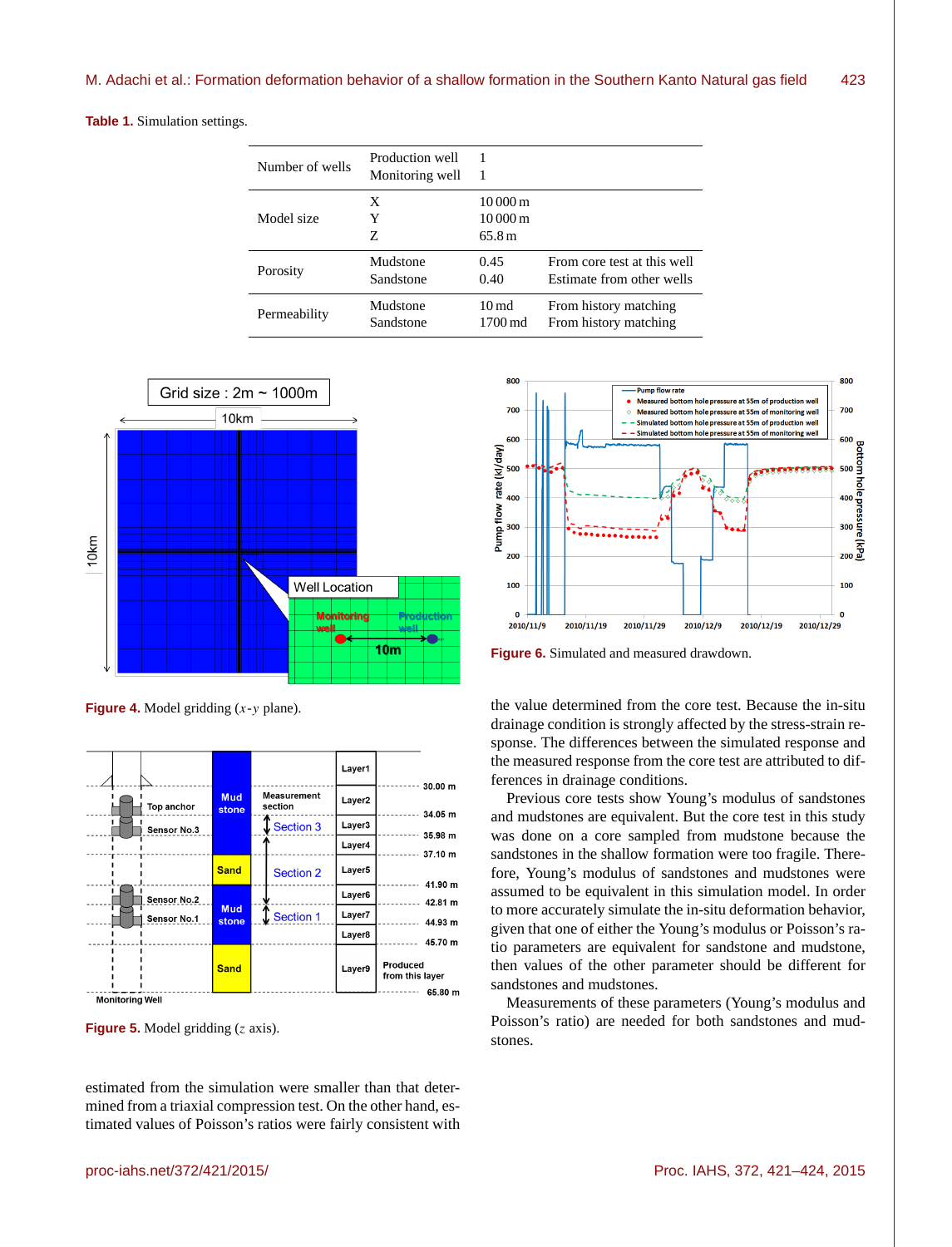**Table 1.** Simulation settings.

| Number of wells | Production well<br>Monitoring well |                                                        |                             |
|-----------------|------------------------------------|--------------------------------------------------------|-----------------------------|
| Model size      | X<br>Y<br>Z                        | $10000 \,\mathrm{m}$<br>$10000 \,\mathrm{m}$<br>65.8 m |                             |
| Porosity        | Mudstone                           | 0.45                                                   | From core test at this well |
|                 | Sandstone                          | 0.40                                                   | Estimate from other wells   |
| Permeability    | Mudstone                           | $10 \text{ md}$                                        | From history matching       |
|                 | Sandstone                          | 1700 md                                                | From history matching       |



**Figure 4.** Model gridding  $(x - y)$  plane).



**Figure 5.** Model gridding (z axis).

estimated from the simulation were smaller than that determined from a triaxial compression test. On the other hand, estimated values of Poisson's ratios were fairly consistent with



**Figure 6.** Simulated and measured drawdown.

the value determined from the core test. Because the in-situ drainage condition is strongly affected by the stress-strain response. The differences between the simulated response and the measured response from the core test are attributed to differences in drainage conditions.

Previous core tests show Young's modulus of sandstones and mudstones are equivalent. But the core test in this study was done on a core sampled from mudstone because the sandstones in the shallow formation were too fragile. Therefore, Young's modulus of sandstones and mudstones were assumed to be equivalent in this simulation model. In order to more accurately simulate the in-situ deformation behavior, given that one of either the Young's modulus or Poisson's ratio parameters are equivalent for sandstone and mudstone, then values of the other parameter should be different for sandstones and mudstones.

Measurements of these parameters (Young's modulus and Poisson's ratio) are needed for both sandstones and mudstones.